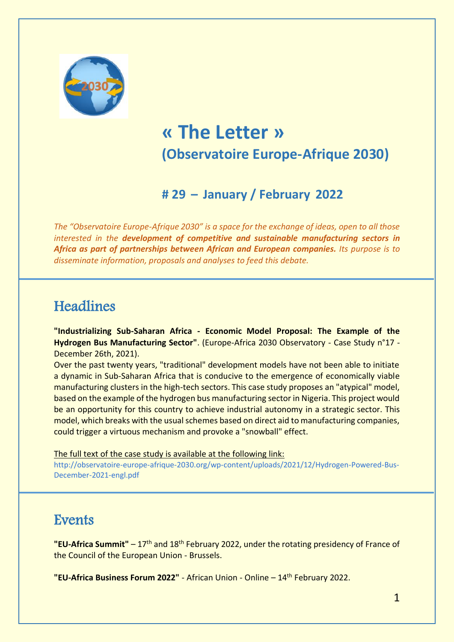

# **« The Letter » (Observatoire Europe-Afrique 2030)**

## **# 29 – January / February 2022**

*The "Observatoire Europe-Afrique 2030" is a space for the exchange of ideas, open to all those interested in the development of competitive and sustainable manufacturing sectors in Africa as part of partnerships between African and European companies. Its purpose is to disseminate information, proposals and analyses to feed this debate.*

## **Headlines**

**"Industrializing Sub-Saharan Africa - Economic Model Proposal: The Example of the Hydrogen Bus Manufacturing Sector"**. (Europe-Africa 2030 Observatory - Case Study n°17 - December 26th, 2021).

Over the past twenty years, "traditional" development models have not been able to initiate a dynamic in Sub-Saharan Africa that is conducive to the emergence of economically viable manufacturing clusters in the high-tech sectors. This case study proposes an "atypical" model, based on the example of the hydrogen bus manufacturing sector in Nigeria. This project would be an opportunity for this country to achieve industrial autonomy in a strategic sector. This model, which breaks with the usual schemes based on direct aid to manufacturing companies, could trigger a virtuous mechanism and provoke a "snowball" effect.

The full text of the case study is available at the following link:

[http://observatoire-europe-afrique-2030.org/wp-content/uploads/2021/12/Hydrogen-Powered-Bus-](http://observatoire-europe-afrique-2030.org/wp-content/uploads/2021/12/Hydrogen-Powered-Bus-December-2021-engl.pdf)[December-2021-engl.pdf](http://observatoire-europe-afrique-2030.org/wp-content/uploads/2021/12/Hydrogen-Powered-Bus-December-2021-engl.pdf)

### **Events**

**"EU-Africa Summit"** – 17th and 18th February 2022, under the rotating presidency of France of the Council of the European Union - Brussels.

"EU-Africa Business Forum 2022" - African Union - Online - 14<sup>th</sup> February 2022.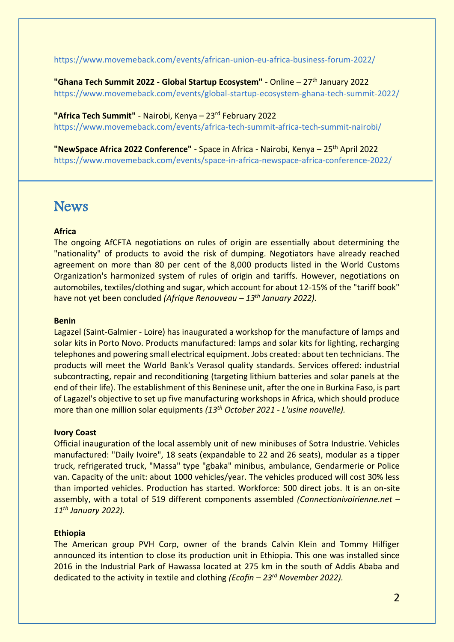<https://www.movemeback.com/events/african-union-eu-africa-business-forum-2022/>

**"Ghana Tech Summit 2022 - Global Startup Ecosystem"** - Online – 27th January 2022 <https://www.movemeback.com/events/global-startup-ecosystem-ghana-tech-summit-2022/>

**"Africa Tech Summit"** - Nairobi, Kenya – 23 rd February 2022 <https://www.movemeback.com/events/africa-tech-summit-africa-tech-summit-nairobi/>

**"NewSpace Africa 2022 Conference"** - Space in Africa - Nairobi, Kenya – 25th April 2022 <https://www.movemeback.com/events/space-in-africa-newspace-africa-conference-2022/>

### **News**

#### **Africa**

The ongoing AfCFTA negotiations on rules of origin are essentially about determining the "nationality" of products to avoid the risk of dumping. Negotiators have already reached agreement on more than 80 per cent of the 8,000 products listed in the World Customs Organization's harmonized system of rules of origin and tariffs. However, negotiations on automobiles, textiles/clothing and sugar, which account for about 12-15% of the "tariff book" have not yet been concluded *(Afrique Renouveau – 13th January 2022).*

#### **Benin**

Lagazel (Saint-Galmier - Loire) has inaugurated a workshop for the manufacture of lamps and solar kits in Porto Novo. Products manufactured: lamps and solar kits for lighting, recharging telephones and powering small electrical equipment. Jobs created: about ten technicians. The products will meet the World Bank's Verasol quality standards. Services offered: industrial subcontracting, repair and reconditioning (targeting lithium batteries and solar panels at the end of their life). The establishment of this Beninese unit, after the one in Burkina Faso, is part of Lagazel's objective to set up five manufacturing workshops in Africa, which should produce more than one million solar equipments *(13 th October 2021 - L'usine nouvelle).*

#### **Ivory Coast**

Official inauguration of the local assembly unit of new minibuses of Sotra Industrie. Vehicles manufactured: "Daily Ivoire", 18 seats (expandable to 22 and 26 seats), modular as a tipper truck, refrigerated truck, "Massa" type "gbaka" minibus, ambulance, Gendarmerie or Police van. Capacity of the unit: about 1000 vehicles/year. The vehicles produced will cost 30% less than imported vehicles. Production has started. Workforce: 500 direct jobs. It is an on-site assembly, with a total of 519 different components assembled *(Connectionivoirienne.net – 11th January 2022).*

#### **Ethiopia**

The American group PVH Corp, owner of the brands Calvin Klein and Tommy Hilfiger announced its intention to close its production unit in Ethiopia. This one was installed since 2016 in the Industrial Park of Hawassa located at 275 km in the south of Addis Ababa and dedicated to the activity in textile and clothing *(Ecofin – 23rd November 2022).*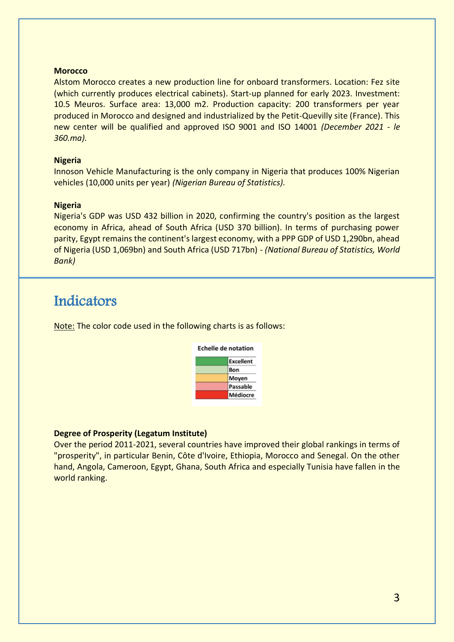#### **Morocco**

Alstom Morocco creates a new production line for onboard transformers. Location: Fez site (which currently produces electrical cabinets). Start-up planned for early 2023. Investment: 10.5 Meuros. Surface area: 13,000 m2. Production capacity: 200 transformers per year produced in Morocco and designed and industrialized by the Petit-Quevilly site (France). This new center will be qualified and approved ISO 9001 and ISO 14001 *(December 2021 - le 360.ma).*

#### **Nigeria**

Innoson Vehicle Manufacturing is the only company in Nigeria that produces 100% Nigerian vehicles (10,000 units per year) *(Nigerian Bureau of Statistics).*

#### **Nigeria**

I

Nigeria's GDP was USD 432 billion in 2020, confirming the country's position as the largest economy in Africa, ahead of South Africa (USD 370 billion). In terms of purchasing power parity, Egypt remains the continent's largest economy, with a PPP GDP of USD 1,290bn, ahead of Nigeria (USD 1,069bn) and South Africa (USD 717bn) - *(National Bureau of Statistics, World Bank)*

### Indicators

Note: The color code used in the following charts is as follows:



#### **Degree of Prosperity (Legatum Institute)**

Over the period 2011-2021, several countries have improved their global rankings in terms of "prosperity", in particular Benin, Côte d'Ivoire, Ethiopia, Morocco and Senegal. On the other hand, Angola, Cameroon, Egypt, Ghana, South Africa and especially Tunisia have fallen in the world ranking.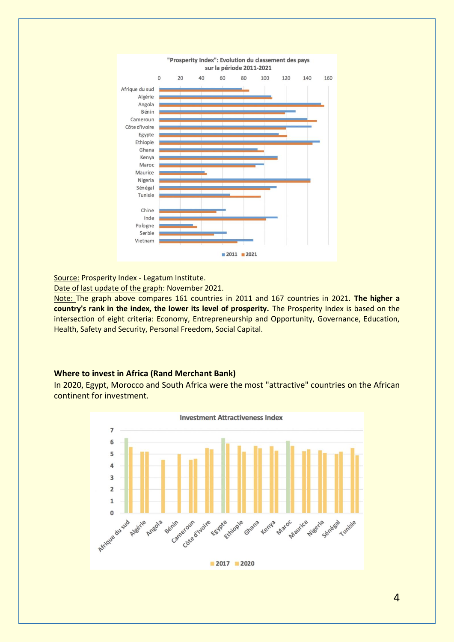

Source: Prosperity Index - Legatum Institute.

Date of last update of the graph: November 2021.

Note: The graph above compares 161 countries in 2011 and 167 countries in 2021. **The higher a country's rank in the index, the lower its level of prosperity.** The Prosperity Index is based on the intersection of eight criteria: Economy, Entrepreneurship and Opportunity, Governance, Education, Health, Safety and Security, Personal Freedom, Social Capital.

#### **Where to invest in Africa (Rand Merchant Bank)**

In 2020, Egypt, Morocco and South Africa were the most "attractive" countries on the African continent for investment.

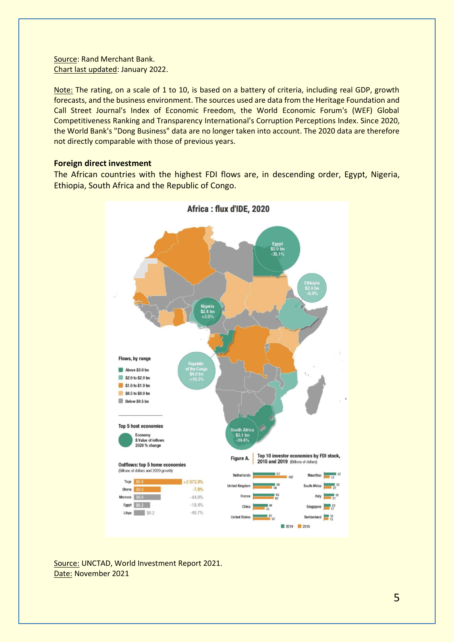Source: Rand Merchant Bank. Chart last updated: January 2022.

Note: The rating, on a scale of 1 to 10, is based on a battery of criteria, including real GDP, growth forecasts, and the business environment. The sources used are data from the Heritage Foundation and Call Street Journal's Index of Economic Freedom, the World Economic Forum's (WEF) Global Competitiveness Ranking and Transparency International's Corruption Perceptions Index. Since 2020, the World Bank's "Dong Business" data are no longer taken into account. The 2020 data are therefore not directly comparable with those of previous years.

#### **Foreign direct investment**

The African countries with the highest FDI flows are, in descending order, Egypt, Nigeria, Ethiopia, South Africa and the Republic of Congo.



Source: UNCTAD, World Investment Report 2021. Date: November 2021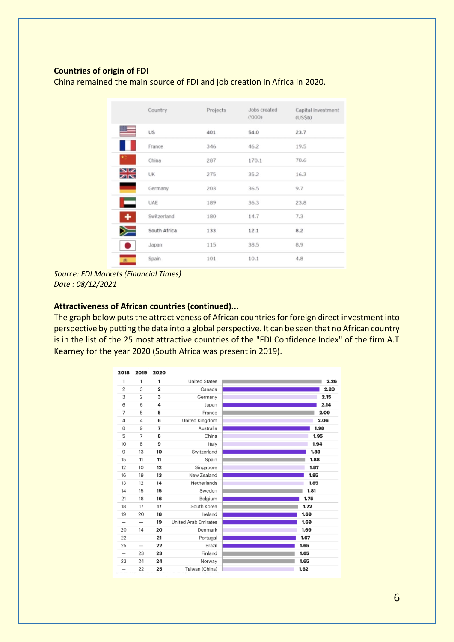#### **Countries of origin of FDI**

China remained the main source of FDI and job creation in Africa in 2020.

|                   | Country      | Projects | Jobs created<br>(1000) | Capital investment<br>(US5b) |
|-------------------|--------------|----------|------------------------|------------------------------|
|                   | US           | 401      | 54.0                   | 23.7                         |
|                   | France       | 346      | 46.2                   | 19.5                         |
|                   | China        | 287      | 170.1                  | 70.6                         |
| שפ<br>ZK          | <b>UK</b>    | 275      | 35.2                   | 16.3                         |
|                   | Germany      | 203      | 36.5                   | 9.7                          |
| <b>CONTRACTOR</b> | <b>UAE</b>   | 189      | 36.3                   | 23.8                         |
| ٠                 | Switzerland  | 180      | 14.7                   | 7.3                          |
|                   | South Africa | 133      | 12.1                   | 8.2                          |
| n                 | Japan        | 115      | 38.5                   | 8.9                          |
| 承 .               | Spain        | 101      | 10.1                   | 4.8                          |

*Source: FDI Markets (Financial Times) Date : 08/12/2021*

#### **Attractiveness of African countries (continued)...**

The graph below puts the attractiveness of African countries for foreign direct investment into perspective by putting the data into a global perspective. It can be seen that no African country is in the list of the 25 most attractive countries of the "FDI Confidence Index" of the firm A.T Kearney for the year 2020 (South Africa was present in 2019).

| 2018              | 2019           | 2020                    |                             |      |
|-------------------|----------------|-------------------------|-----------------------------|------|
| 1                 | 1              | 1                       | <b>United States</b>        | 2.26 |
| $\overline{2}$    | 3              | $\overline{\mathbf{2}}$ | Canada                      | 2.20 |
| 3                 | $\overline{2}$ | 3                       | Germany                     | 2.15 |
| 6                 | 6              | 4                       | Japan                       | 2.14 |
| 7                 | 5              | 5                       | France                      | 2.09 |
| 4                 | $\overline{4}$ | 6                       | United Kingdom              | 2.06 |
| 8                 | 9              | $\overline{7}$          | Australia                   | 1.98 |
| 5                 | $\overline{7}$ | 8                       | China                       | 1.95 |
| 10                | 8              | 9                       | Italy                       | 1.94 |
| 9                 | 13             | 10                      | Switzerland                 | 1.89 |
| 15                | 11             | 11                      | Spain                       | 1.88 |
| 12                | 10             | 12                      | Singapore                   | 1.87 |
| 16                | 19             | 13                      | New Zealand                 | 1.85 |
| 13                | 12             | 14                      | Netherlands                 | 1.85 |
| 14                | 15             | 15                      | Sweden                      | 1.81 |
| 21                | 18             | 16                      | Belgium                     | 1.75 |
| 18                | 17             | 17                      | South Korea                 | 1.72 |
| 19                | 20             | 18                      | Ireland                     | 1.69 |
| $\qquad \qquad -$ |                | 19                      | <b>United Arab Emirates</b> | 1.69 |
| 20                | 14             | 20                      | Denmark                     | 1.69 |
| 22                |                | 21                      | Portugal                    | 1.67 |
| 25                |                | 22                      | Brazil                      | 1.65 |
| $\qquad \qquad$   | 23             | 23                      | Finland                     | 1.65 |
| 23                | 24             | 24                      | Norway                      | 1.65 |
|                   | 22             | 25                      | Taiwan (China)              | 1.62 |